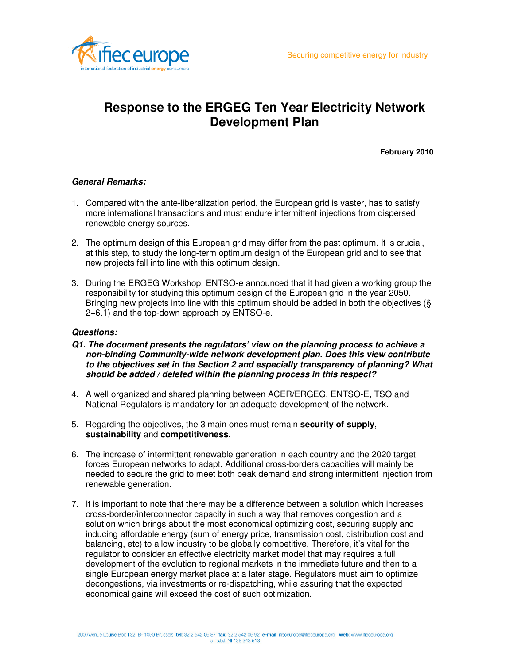

# **Response to the ERGEG Ten Year Electricity Network Development Plan**

**February 2010**

## **General Remarks:**

- 1. Compared with the ante-liberalization period, the European grid is vaster, has to satisfy more international transactions and must endure intermittent injections from dispersed renewable energy sources.
- 2. The optimum design of this European grid may differ from the past optimum. It is crucial, at this step, to study the long-term optimum design of the European grid and to see that new projects fall into line with this optimum design.
- 3. During the ERGEG Workshop, ENTSO-e announced that it had given a working group the responsibility for studying this optimum design of the European grid in the year 2050. Bringing new projects into line with this optimum should be added in both the objectives (§ 2+6.1) and the top-down approach by ENTSO-e.

## **Questions:**

- **Q1. The document presents the regulators' view on the planning process to achieve a non-binding Community-wide network development plan. Does this view contribute to the objectives set in the Section 2 and especially transparency of planning? What should be added / deleted within the planning process in this respect?**
- 4. A well organized and shared planning between ACER/ERGEG, ENTSO-E, TSO and National Regulators is mandatory for an adequate development of the network.
- 5. Regarding the objectives, the 3 main ones must remain **security of supply**, **sustainability** and **competitiveness**.
- 6. The increase of intermittent renewable generation in each country and the 2020 target forces European networks to adapt. Additional cross-borders capacities will mainly be needed to secure the grid to meet both peak demand and strong intermittent injection from renewable generation.
- 7. It is important to note that there may be a difference between a solution which increases cross-border/interconnector capacity in such a way that removes congestion and a solution which brings about the most economical optimizing cost, securing supply and inducing affordable energy (sum of energy price, transmission cost, distribution cost and balancing, etc) to allow industry to be globally competitive. Therefore, it's vital for the regulator to consider an effective electricity market model that may requires a full development of the evolution to regional markets in the immediate future and then to a single European energy market place at a later stage. Regulators must aim to optimize decongestions, via investments or re-dispatching, while assuring that the expected economical gains will exceed the cost of such optimization.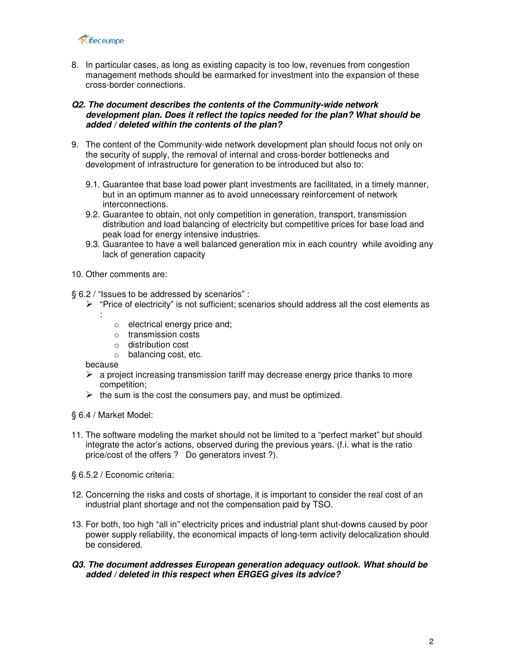

8. In particular cases, as long as existing capacity is too low, revenues from congestion management methods should be earmarked for investment into the expansion of these cross-border connections.

## **Q2. The document describes the contents of the Community-wide network development plan. Does it reflect the topics needed for the plan? What should be added / deleted within the contents of the plan?**

- 9. The content of the Community-wide network development plan should focus not only on the security of supply, the removal of internal and cross-border bottlenecks and development of infrastructure for generation to be introduced but also to:
	- 9.1. Guarantee that base load power plant investments are facilitated, in a timely manner, but in an optimum manner as to avoid unnecessary reinforcement of network interconnections.
	- 9.2. Guarantee to obtain, not only competition in generation, transport, transmission distribution and load balancing of electricity but competitive prices for base load and peak load for energy intensive industries.
	- 9.3. Guarantee to have a well balanced generation mix in each country while avoiding any lack of generation capacity
- 10. Other comments are:

§ 6.2 / "Issues to be addressed by scenarios" :

- $\triangleright$  "Price of electricity" is not sufficient; scenarios should address all the cost elements as
	- :
- o electrical energy price and;
- o transmission costs
- o distribution cost
- o balancing cost, etc.

because

- $\triangleright$  a project increasing transmission tariff may decrease energy price thanks to more competition;
- $\triangleright$  the sum is the cost the consumers pay, and must be optimized.

§ 6.4 / Market Model:

- 11. The software modeling the market should not be limited to a "perfect market" but should integrate the actor's actions, observed during the previous years. (f.i. what is the ratio price/cost of the offers ? Do generators invest ?).
- § 6.5.2 / Economic criteria:
- 12. Concerning the risks and costs of shortage, it is important to consider the real cost of an industrial plant shortage and not the compensation paid by TSO.
- 13. For both, too high "all in" electricity prices and industrial plant shut-downs caused by poor power supply reliability, the economical impacts of long-term activity delocalization should be considered.

#### **Q3. The document addresses European generation adequacy outlook. What should be added / deleted in this respect when ERGEG gives its advice?**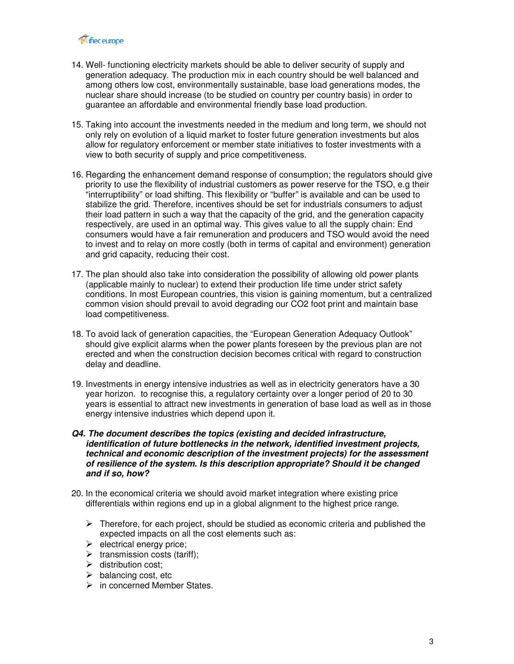

- 14. Well- functioning electricity markets should be able to deliver security of supply and generation adequacy. The production mix in each country should be well balanced and among others low cost, environmentally sustainable, base load generations modes, the nuclear share should increase (to be studied on country per country basis) in order to guarantee an affordable and environmental friendly base load production.
- 15. Taking into account the investments needed in the medium and long term, we should not only rely on evolution of a liquid market to foster future generation investments but alos allow for regulatory enforcement or member state initiatives to foster investments with a view to both security of supply and price competitiveness.
- 16. Regarding the enhancement demand response of consumption; the regulators should give priority to use the flexibility of industrial customers as power reserve for the TSO, e.g their "interruptibility" or load shifting. This flexibility or "buffer" is available and can be used to stabilize the grid. Therefore, incentives should be set for industrials consumers to adjust their load pattern in such a way that the capacity of the grid, and the generation capacity respectively, are used in an optimal way. This gives value to all the supply chain: End consumers would have a fair remuneration and producers and TSO would avoid the need to invest and to relay on more costly (both in terms of capital and environment) generation and grid capacity, reducing their cost.
- 17. The plan should also take into consideration the possibility of allowing old power plants (applicable mainly to nuclear) to extend their production life time under strict safety conditions. In most European countries, this vision is gaining momentum, but a centralized common vision should prevail to avoid degrading our CO2 foot print and maintain base load competitiveness.
- 18. To avoid lack of generation capacities, the "European Generation Adequacy Outlook" should give explicit alarms when the power plants foreseen by the previous plan are not erected and when the construction decision becomes critical with regard to construction delay and deadline.
- 19. Investments in energy intensive industries as well as in electricity generators have a 30 year horizon. to recognise this, a regulatory certainty over a longer period of 20 to 30 years is essential to attract new investments in generation of base load as well as in those energy intensive industries which depend upon it.
- **Q4. The document describes the topics (existing and decided infrastructure, identification of future bottlenecks in the network, identified investment projects, technical and economic description of the investment projects) for the assessment of resilience of the system. Is this description appropriate? Should it be changed and if so, how?**
- 20. In the economical criteria we should avoid market integration where existing price differentials within regions end up in a global alignment to the highest price range.
	- $\triangleright$  Therefore, for each project, should be studied as economic criteria and published the expected impacts on all the cost elements such as:
	- $\blacktriangleright$  electrical energy price;
	- $\triangleright$  transmission costs (tariff);
	- $\triangleright$  distribution cost:
	- $\triangleright$  balancing cost, etc
	- $\triangleright$  in concerned Member States.